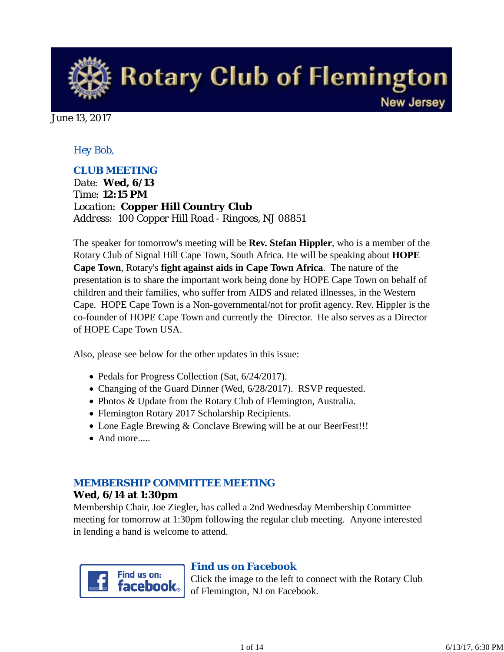

June 13, 2017

## *Hey Bob,*

## *CLUB MEETING*

*Date: Wed, 6/13 Time: 12:15 PM Location: Copper Hill Country Club Address: 100 Copper Hill Road - Ringoes, NJ 08851*

The speaker for tomorrow's meeting will be **Rev. Stefan Hippler**, who is a member of the Rotary Club of Signal Hill Cape Town, South Africa. He will be speaking about **HOPE Cape Town**, Rotary's **fight against aids in Cape Town Africa**. The nature of the presentation is to share the important work being done by HOPE Cape Town on behalf of children and their families, who suffer from AIDS and related illnesses, in the Western Cape. HOPE Cape Town is a Non-governmental/not for profit agency. Rev. Hippler is the co-founder of HOPE Cape Town and currently the Director. He also serves as a Director of HOPE Cape Town USA.

Also, please see below for the other updates in this issue:

- Pedals for Progress Collection (Sat, 6/24/2017).
- Changing of the Guard Dinner (Wed, 6/28/2017). RSVP requested.
- Photos & Update from the Rotary Club of Flemington, Australia.
- Flemington Rotary 2017 Scholarship Recipients.
- Lone Eagle Brewing & Conclave Brewing will be at our BeerFest!!!
- And more.....

## *MEMBERSHIP COMMITTEE MEETING*

#### **Wed, 6/14 at 1:30pm**

Membership Chair, Joe Ziegler, has called a 2nd Wednesday Membership Committee meeting for tomorrow at 1:30pm following the regular club meeting. Anyone interested in lending a hand is welcome to attend.



## *Find us on Facebook*

Click the image to the left to connect with the Rotary Club of Flemington, NJ on Facebook.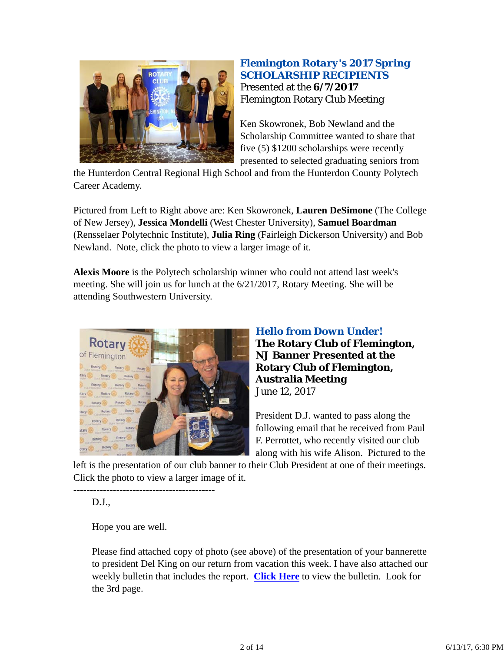

## *Flemington Rotary's 2017 Spring SCHOLARSHIP RECIPIENTS* Presented at the **6/7/2017** Flemington Rotary Club Meeting

Ken Skowronek, Bob Newland and the Scholarship Committee wanted to share that five (5) \$1200 scholarships were recently presented to selected graduating seniors from

the Hunterdon Central Regional High School and from the Hunterdon County Polytech Career Academy.

Pictured from Left to Right above are: Ken Skowronek, **Lauren DeSimone** (The College of New Jersey), **Jessica Mondelli** (West Chester University), **Samuel Boardman** (Rensselaer Polytechnic Institute), **Julia Ring** (Fairleigh Dickerson University) and Bob Newland. Note, click the photo to view a larger image of it.

**Alexis Moore** is the Polytech scholarship winner who could not attend last week's meeting. She will join us for lunch at the 6/21/2017, Rotary Meeting. She will be attending Southwestern University.



## *Hello from Down Under!* **The Rotary Club of Flemington, NJ Banner Presented at the Rotary Club of Flemington, Australia Meeting** June 12, 2017

President D.J. wanted to pass along the following email that he received from Paul F. Perrottet, who recently visited our club along with his wife Alison. Pictured to the

left is the presentation of our club banner to their Club President at one of their meetings. Click the photo to view a larger image of it.

D.J.,

Hope you are well.

-------------------------------------------

Please find attached copy of photo (see above) of the presentation of your bannerette to president Del King on our return from vacation this week. I have also attached our weekly bulletin that includes the report. **Click Here** to view the bulletin. Look for the 3rd page.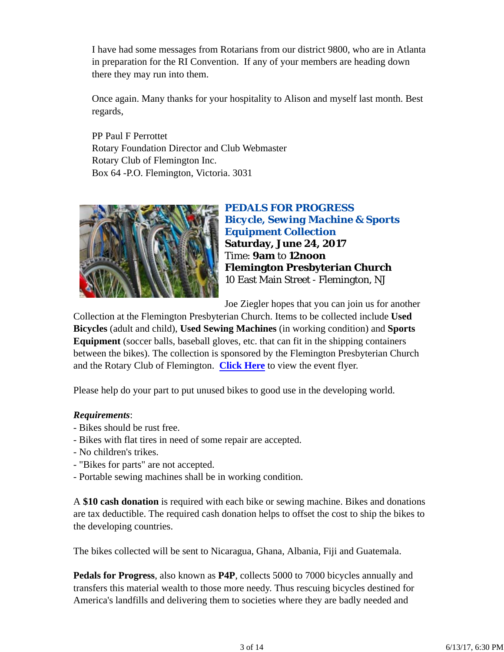I have had some messages from Rotarians from our district 9800, who are in Atlanta in preparation for the RI Convention. If any of your members are heading down there they may run into them.

Once again. Many thanks for your hospitality to Alison and myself last month. Best regards,

PP Paul F Perrottet Rotary Foundation Director and Club Webmaster Rotary Club of Flemington Inc. Box 64 -P.O. Flemington, Victoria. 3031



*PEDALS FOR PROGRESS Bicycle, Sewing Machine & Sports Equipment Collection* **Saturday, June 24, 2017** Time: **9am** to **12noon Flemington Presbyterian Church** 10 East Main Street - Flemington, NJ

Joe Ziegler hopes that you can join us for another

Collection at the Flemington Presbyterian Church. Items to be collected include **Used Bicycles** (adult and child), **Used Sewing Machines** (in working condition) and **Sports Equipment** (soccer balls, baseball gloves, etc. that can fit in the shipping containers between the bikes). The collection is sponsored by the Flemington Presbyterian Church and the Rotary Club of Flemington. **Click Here** to view the event flyer.

Please help do your part to put unused bikes to good use in the developing world.

#### *Requirements*:

- Bikes should be rust free.
- Bikes with flat tires in need of some repair are accepted.
- No children's trikes.
- "Bikes for parts" are not accepted.
- Portable sewing machines shall be in working condition.

A **\$10 cash donation** is required with each bike or sewing machine. Bikes and donations are tax deductible. The required cash donation helps to offset the cost to ship the bikes to the developing countries.

The bikes collected will be sent to Nicaragua, Ghana, Albania, Fiji and Guatemala.

**Pedals for Progress**, also known as **P4P**, collects 5000 to 7000 bicycles annually and transfers this material wealth to those more needy. Thus rescuing bicycles destined for America's landfills and delivering them to societies where they are badly needed and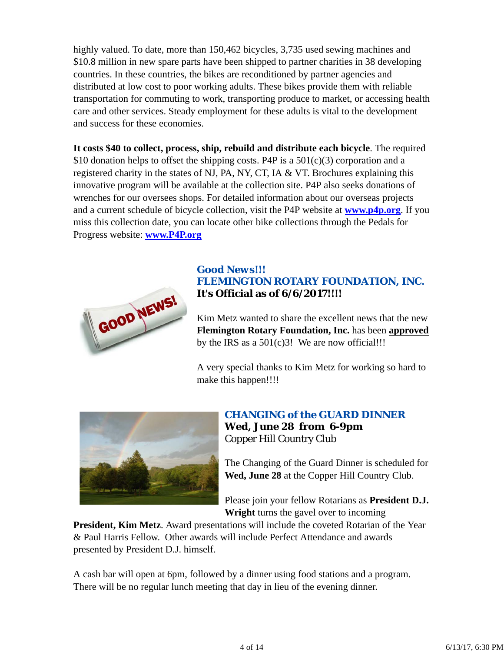highly valued. To date, more than 150,462 bicycles, 3,735 used sewing machines and \$10.8 million in new spare parts have been shipped to partner charities in 38 developing countries. In these countries, the bikes are reconditioned by partner agencies and distributed at low cost to poor working adults. These bikes provide them with reliable transportation for commuting to work, transporting produce to market, or accessing health care and other services. Steady employment for these adults is vital to the development and success for these economies.

**It costs \$40 to collect, process, ship, rebuild and distribute each bicycle**. The required \$10 donation helps to offset the shipping costs. P4P is a  $501(c)(3)$  corporation and a registered charity in the states of NJ, PA, NY, CT, IA & VT. Brochures explaining this innovative program will be available at the collection site. P4P also seeks donations of wrenches for our oversees shops. For detailed information about our overseas projects and a current schedule of bicycle collection, visit the P4P website at **www.p4p.org**. If you miss this collection date, you can locate other bike collections through the Pedals for Progress website: **www.P4P.org**



## *Good News!!! FLEMINGTON ROTARY FOUNDATION, INC.* **It's Official as of 6/6/2017!!!!**

Kim Metz wanted to share the excellent news that the new **Flemington Rotary Foundation, Inc.** has been **approved** by the IRS as a  $501(c)3!$  We are now official!!!

A very special thanks to Kim Metz for working so hard to make this happen!!!!



# *CHANGING of the GUARD DINNER*

**Wed, June 28 from 6-9pm** Copper Hill Country Club

The Changing of the Guard Dinner is scheduled for **Wed, June 28** at the Copper Hill Country Club.

Please join your fellow Rotarians as **President D.J. Wright** turns the gavel over to incoming

**President, Kim Metz**. Award presentations will include the coveted Rotarian of the Year & Paul Harris Fellow. Other awards will include Perfect Attendance and awards presented by President D.J. himself.

A cash bar will open at 6pm, followed by a dinner using food stations and a program. There will be no regular lunch meeting that day in lieu of the evening dinner.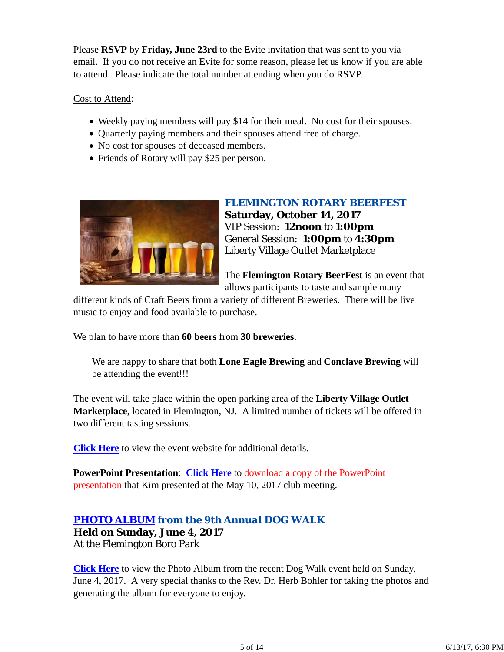Please **RSVP** by **Friday, June 23rd** to the Evite invitation that was sent to you via email. If you do not receive an Evite for some reason, please let us know if you are able to attend. Please indicate the total number attending when you do RSVP.

#### Cost to Attend:

- Weekly paying members will pay \$14 for their meal. No cost for their spouses.
- Ouarterly paying members and their spouses attend free of charge.
- No cost for spouses of deceased members.
- Friends of Rotary will pay \$25 per person.



*FLEMINGTON ROTARY BEERFEST* **Saturday, October 14, 2017** VIP Session: **12noon** to **1:00pm** General Session: **1:00pm** to **4:30pm** Liberty Village Outlet Marketplace

The **Flemington Rotary BeerFest** is an event that allows participants to taste and sample many

different kinds of Craft Beers from a variety of different Breweries. There will be live music to enjoy and food available to purchase.

We plan to have more than **60 beers** from **30 breweries**.

We are happy to share that both **Lone Eagle Brewing** and **Conclave Brewing** will be attending the event!!!

The event will take place within the open parking area of the **Liberty Village Outlet Marketplace**, located in Flemington, NJ. A limited number of tickets will be offered in two different tasting sessions.

**Click Here** to view the event website for additional details.

**PowerPoint Presentation**: **Click Here** to download a copy of the PowerPoint presentation that Kim presented at the May 10, 2017 club meeting.

## *PHOTO ALBUM from the 9th Annual DOG WALK*

**Held on Sunday, June 4, 2017** At the Flemington Boro Park

**Click Here** to view the Photo Album from the recent Dog Walk event held on Sunday, June 4, 2017. A very special thanks to the Rev. Dr. Herb Bohler for taking the photos and generating the album for everyone to enjoy.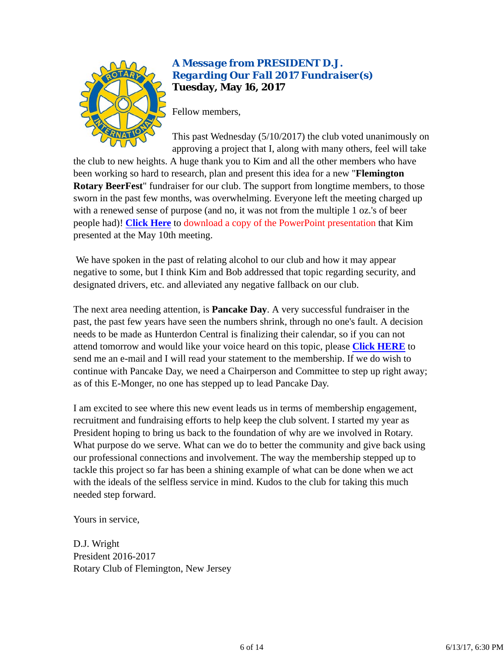

## *A Message from PRESIDENT D.J. Regarding Our Fall 2017 Fundraiser(s)* **Tuesday, May 16, 2017**

Fellow members,

This past Wednesday (5/10/2017) the club voted unanimously on approving a project that I, along with many others, feel will take

the club to new heights. A huge thank you to Kim and all the other members who have been working so hard to research, plan and present this idea for a new "**Flemington Rotary BeerFest**" fundraiser for our club. The support from longtime members, to those sworn in the past few months, was overwhelming. Everyone left the meeting charged up with a renewed sense of purpose (and no, it was not from the multiple 1 oz.'s of beer people had)! **Click Here** to download a copy of the PowerPoint presentation that Kim presented at the May 10th meeting.

 We have spoken in the past of relating alcohol to our club and how it may appear negative to some, but I think Kim and Bob addressed that topic regarding security, and designated drivers, etc. and alleviated any negative fallback on our club.

The next area needing attention, is **Pancake Day**. A very successful fundraiser in the past, the past few years have seen the numbers shrink, through no one's fault. A decision needs to be made as Hunterdon Central is finalizing their calendar, so if you can not attend tomorrow and would like your voice heard on this topic, please **Click HERE** to send me an e-mail and I will read your statement to the membership. If we do wish to continue with Pancake Day, we need a Chairperson and Committee to step up right away; as of this E-Monger, no one has stepped up to lead Pancake Day.

I am excited to see where this new event leads us in terms of membership engagement, recruitment and fundraising efforts to help keep the club solvent. I started my year as President hoping to bring us back to the foundation of why are we involved in Rotary. What purpose do we serve. What can we do to better the community and give back using our professional connections and involvement. The way the membership stepped up to tackle this project so far has been a shining example of what can be done when we act with the ideals of the selfless service in mind. Kudos to the club for taking this much needed step forward.

Yours in service,

D.J. Wright President 2016-2017 Rotary Club of Flemington, New Jersey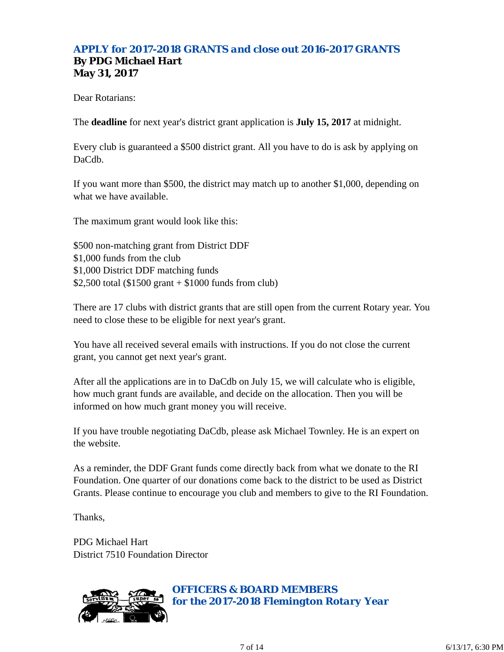## *APPLY for 2017-2018 GRANTS and close out 2016-2017 GRANTS* **By PDG Michael Hart May 31, 2017**

Dear Rotarians:

The **deadline** for next year's district grant application is **July 15, 2017** at midnight.

Every club is guaranteed a \$500 district grant. All you have to do is ask by applying on DaCdb.

If you want more than \$500, the district may match up to another \$1,000, depending on what we have available.

The maximum grant would look like this:

\$500 non-matching grant from District DDF \$1,000 funds from the club \$1,000 District DDF matching funds \$2,500 total (\$1500 grant + \$1000 funds from club)

There are 17 clubs with district grants that are still open from the current Rotary year. You need to close these to be eligible for next year's grant.

You have all received several emails with instructions. If you do not close the current grant, you cannot get next year's grant.

After all the applications are in to DaCdb on July 15, we will calculate who is eligible, how much grant funds are available, and decide on the allocation. Then you will be informed on how much grant money you will receive.

If you have trouble negotiating DaCdb, please ask Michael Townley. He is an expert on the website.

As a reminder, the DDF Grant funds come directly back from what we donate to the RI Foundation. One quarter of our donations come back to the district to be used as District Grants. Please continue to encourage you club and members to give to the RI Foundation.

Thanks,

PDG Michael Hart District 7510 Foundation Director



*OFFICERS & BOARD MEMBERS for the 2017-2018 Flemington Rotary Year*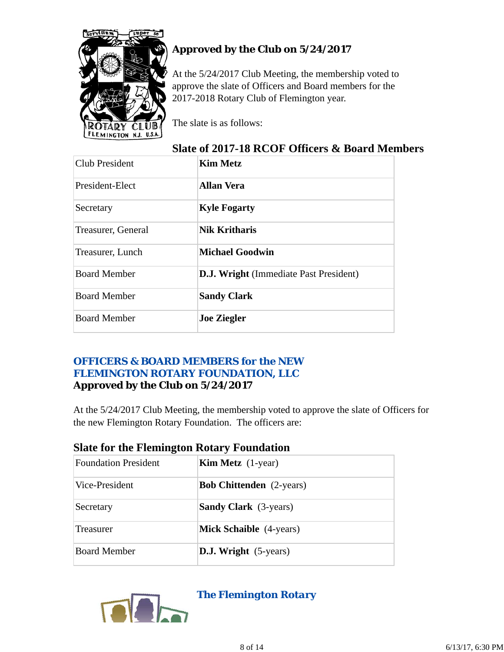

# **Approved by the Club on 5/24/2017**

At the 5/24/2017 Club Meeting, the membership voted to approve the slate of Officers and Board members for the 2017-2018 Rotary Club of Flemington year.

The slate is as follows:

## **Slate of 2017-18 RCOF Officers & Board Members**

| <b>Club President</b> | <b>Kim Metz</b>                               |
|-----------------------|-----------------------------------------------|
| President-Elect       | <b>Allan Vera</b>                             |
| Secretary             | <b>Kyle Fogarty</b>                           |
| Treasurer, General    | <b>Nik Kritharis</b>                          |
| Treasurer, Lunch      | <b>Michael Goodwin</b>                        |
| <b>Board Member</b>   | <b>D.J. Wright</b> (Immediate Past President) |
| <b>Board Member</b>   | <b>Sandy Clark</b>                            |
| <b>Board Member</b>   | <b>Joe Ziegler</b>                            |

## *OFFICERS & BOARD MEMBERS for the NEW FLEMINGTON ROTARY FOUNDATION, LLC* **Approved by the Club on 5/24/2017**

At the 5/24/2017 Club Meeting, the membership voted to approve the slate of Officers for the new Flemington Rotary Foundation. The officers are:

| <b>Foundation President</b> | <b>Kim Metz</b> $(1$ -year)     |  |  |  |
|-----------------------------|---------------------------------|--|--|--|
| Vice-President              | <b>Bob Chittenden</b> (2-years) |  |  |  |
| Secretary                   | <b>Sandy Clark</b> (3-years)    |  |  |  |
| Treasurer                   | <b>Mick Schaible</b> (4-years)  |  |  |  |
| <b>Board Member</b>         | <b>D.J. Wright</b> (5-years)    |  |  |  |

## **Slate for the Flemington Rotary Foundation**



*The Flemington Rotary*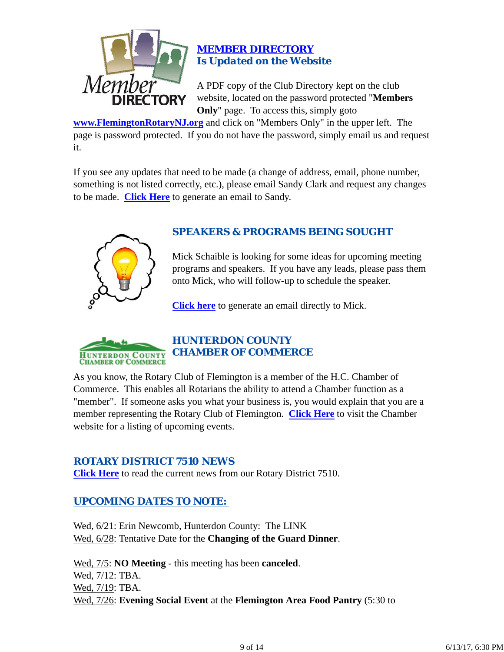

### *MEMBER DIRECTORY Is Updated on the Website*

A PDF copy of the Club Directory kept on the club website, located on the password protected "**Members Only**" page. To access this, simply goto

**www.FlemingtonRotaryNJ.org** and click on "Members Only" in the upper left. The page is password protected. If you do not have the password, simply email us and request it.

If you see any updates that need to be made (a change of address, email, phone number, something is not listed correctly, etc.), please email Sandy Clark and request any changes to be made. **Click Here** to generate an email to Sandy.



## *SPEAKERS & PROGRAMS BEING SOUGHT*

Mick Schaible is looking for some ideas for upcoming meeting programs and speakers. If you have any leads, please pass them onto Mick, who will follow-up to schedule the speaker.

**Click here** to generate an email directly to Mick.



## *HUNTERDON COUNTY CHAMBER OF COMMERCE*

As you know, the Rotary Club of Flemington is a member of the H.C. Chamber of Commerce. This enables all Rotarians the ability to attend a Chamber function as a "member". If someone asks you what your business is, you would explain that you are a member representing the Rotary Club of Flemington. **Click Here** to visit the Chamber website for a listing of upcoming events.

## *ROTARY DISTRICT 7510 NEWS*

**Click Here** to read the current news from our Rotary District 7510.

## *UPCOMING DATES TO NOTE:*

Wed, 6/21: Erin Newcomb, Hunterdon County: The LINK Wed, 6/28: Tentative Date for the **Changing of the Guard Dinner**.

Wed, 7/5: **NO Meeting** - this meeting has been **canceled**. Wed, 7/12: TBA. Wed, 7/19: TBA. Wed, 7/26: **Evening Social Event** at the **Flemington Area Food Pantry** (5:30 to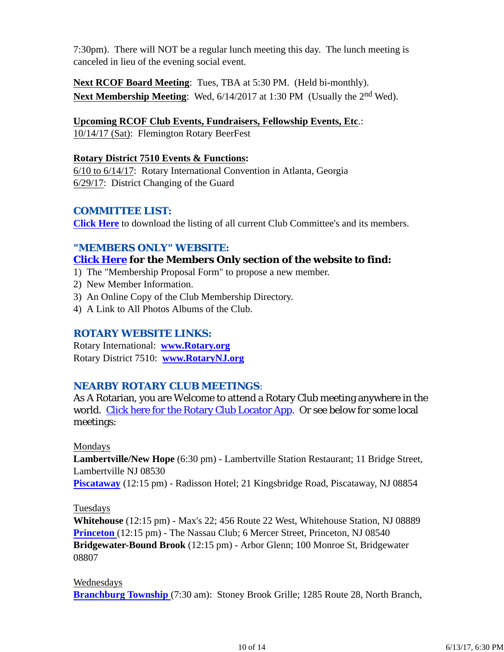7:30pm). There will NOT be a regular lunch meeting this day. The lunch meeting is canceled in lieu of the evening social event.

**Next RCOF Board Meeting**: Tues, TBA at 5:30 PM. (Held bi-monthly). **Next Membership Meeting**: Wed,  $6/14/2017$  at 1:30 PM (Usually the 2<sup>nd</sup> Wed).

#### **Upcoming RCOF Club Events, Fundraisers, Fellowship Events, Etc**.:

10/14/17 (Sat): Flemington Rotary BeerFest

#### **Rotary District 7510 Events & Functions:**

6/10 to 6/14/17: Rotary International Convention in Atlanta, Georgia 6/29/17: District Changing of the Guard

#### *COMMITTEE LIST:*

**Click Here** to download the listing of all current Club Committee's and its members.

#### *"MEMBERS ONLY" WEBSITE:*

## **Click Here for the Members Only section of the website to find:**

- 1) The "Membership Proposal Form" to propose a new member.
- 2) New Member Information.
- 3) An Online Copy of the Club Membership Directory.
- 4) A Link to All Photos Albums of the Club.

#### *ROTARY WEBSITE LINKS:*

Rotary International: **www.Rotary.org** Rotary District 7510: **www.RotaryNJ.org**

#### *NEARBY ROTARY CLUB MEETINGS:*

As A Rotarian, you are Welcome to attend a Rotary Club meeting anywhere in the world. Click here for the Rotary Club Locator App. Or see below for some local meetings:

#### Mondays

**Lambertville/New Hope** (6:30 pm) - Lambertville Station Restaurant; 11 Bridge Street, Lambertville NJ 08530

**Piscataway** (12:15 pm) - Radisson Hotel; 21 Kingsbridge Road, Piscataway, NJ 08854

#### Tuesdays

**Whitehouse** (12:15 pm) - Max's 22; 456 Route 22 West, Whitehouse Station, NJ 08889 **Princeton** (12:15 pm) - The Nassau Club; 6 Mercer Street, Princeton, NJ 08540 **Bridgewater-Bound Brook** (12:15 pm) - Arbor Glenn; 100 Monroe St, Bridgewater 08807

#### Wednesdays

**Branchburg Township** (7:30 am): Stoney Brook Grille; 1285 Route 28, North Branch,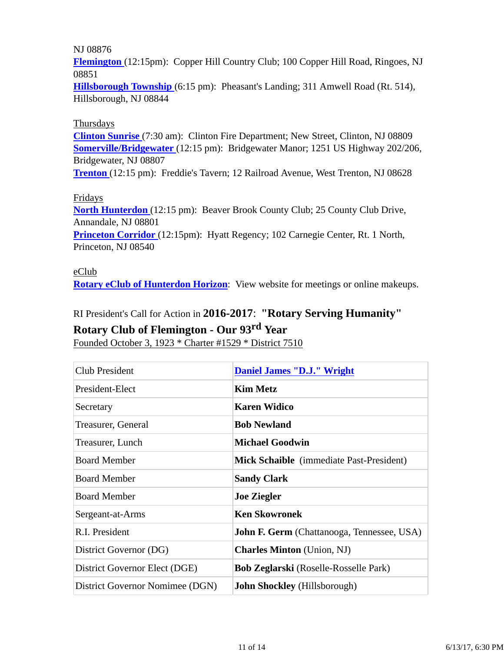#### NJ 08876

**Flemington** (12:15pm): Copper Hill Country Club; 100 Copper Hill Road, Ringoes, NJ 08851

**Hillsborough Township** (6:15 pm): Pheasant's Landing; 311 Amwell Road (Rt. 514), Hillsborough, NJ 08844

#### Thursdays

**Clinton Sunrise** (7:30 am): Clinton Fire Department; New Street, Clinton, NJ 08809 **Somerville/Bridgewater** (12:15 pm): Bridgewater Manor; 1251 US Highway 202/206, Bridgewater, NJ 08807

**Trenton** (12:15 pm): Freddie's Tavern; 12 Railroad Avenue, West Trenton, NJ 08628

#### Fridays

**North Hunterdon** (12:15 pm): Beaver Brook County Club; 25 County Club Drive, Annandale, NJ 08801

**Princeton Corridor** (12:15pm): Hyatt Regency; 102 Carnegie Center, Rt. 1 North, Princeton, NJ 08540

#### eClub

**Rotary eClub of Hunterdon Horizon**: View website for meetings or online makeups.

# RI President's Call for Action in **2016-2017**: **"Rotary Serving Humanity"**

## **Rotary Club of Flemington - Our 93rd Year**

Founded October 3, 1923 \* Charter #1529 \* District 7510

| <b>Club President</b>           | <b>Daniel James "D.J." Wright</b>                 |
|---------------------------------|---------------------------------------------------|
| President-Elect                 | <b>Kim Metz</b>                                   |
| Secretary                       | <b>Karen Widico</b>                               |
| Treasurer, General              | <b>Bob Newland</b>                                |
| Treasurer, Lunch                | <b>Michael Goodwin</b>                            |
| <b>Board Member</b>             | Mick Schaible (immediate Past-President)          |
| <b>Board Member</b>             | <b>Sandy Clark</b>                                |
| <b>Board Member</b>             | <b>Joe Ziegler</b>                                |
| Sergeant-at-Arms                | <b>Ken Skowronek</b>                              |
| R.I. President                  | <b>John F. Germ</b> (Chattanooga, Tennessee, USA) |
| District Governor (DG)          | <b>Charles Minton</b> (Union, NJ)                 |
| District Governor Elect (DGE)   | <b>Bob Zeglarski</b> (Roselle-Rosselle Park)      |
| District Governor Nomimee (DGN) | <b>John Shockley</b> (Hillsborough)               |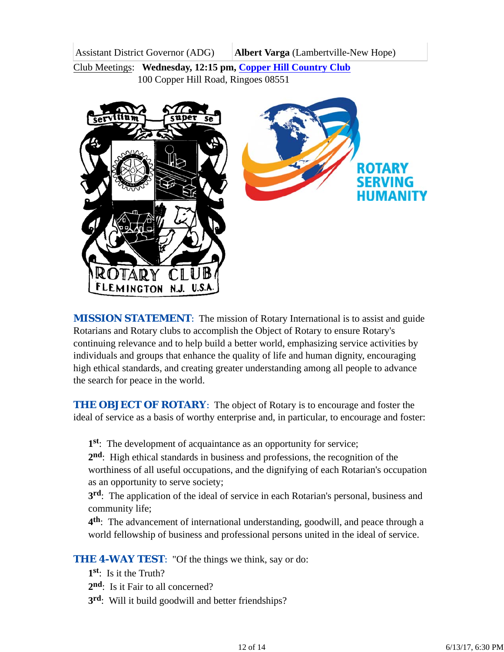Assistant District Governor (ADG) **Albert Varga** (Lambertville-New Hope)

Club Meetings: **Wednesday, 12:15 pm, Copper Hill Country Club** 100 Copper Hill Road, Ringoes 08551



*MISSION STATEMENT*: The mission of Rotary International is to assist and guide Rotarians and Rotary clubs to accomplish the Object of Rotary to ensure Rotary's continuing relevance and to help build a better world, emphasizing service activities by individuals and groups that enhance the quality of life and human dignity, encouraging high ethical standards, and creating greater understanding among all people to advance the search for peace in the world.

**THE OBJECT OF ROTARY:** The object of Rotary is to encourage and foster the ideal of service as a basis of worthy enterprise and, in particular, to encourage and foster:

**1st**: The development of acquaintance as an opportunity for service;

**2nd**: High ethical standards in business and professions, the recognition of the worthiness of all useful occupations, and the dignifying of each Rotarian's occupation as an opportunity to serve society;

**3rd**: The application of the ideal of service in each Rotarian's personal, business and community life;

**4th**: The advancement of international understanding, goodwill, and peace through a world fellowship of business and professional persons united in the ideal of service.

**THE 4-WAY TEST:** "Of the things we think, say or do:

- **1st**: Is it the Truth?
- 2<sup>nd</sup>: Is it Fair to all concerned?
- **3rd**: Will it build goodwill and better friendships?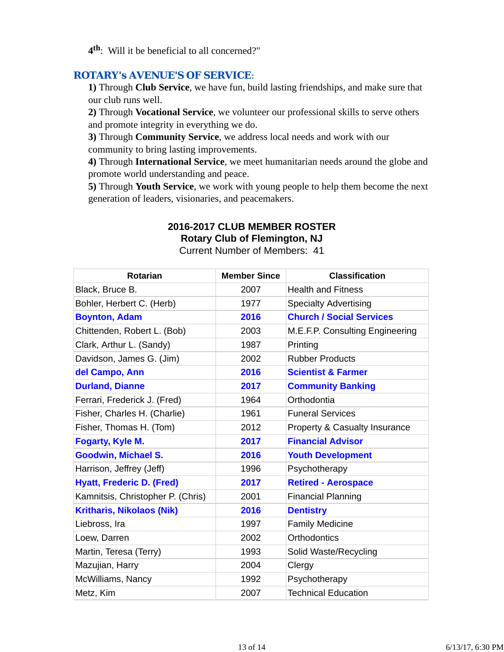**4th**: Will it be beneficial to all concerned?"

## *ROTARY's AVENUE'S OF SERVICE*:

**1)** Through **Club Service**, we have fun, build lasting friendships, and make sure that our club runs well.

**2)** Through **Vocational Service**, we volunteer our professional skills to serve others and promote integrity in everything we do.

**3)** Through **Community Service**, we address local needs and work with our community to bring lasting improvements.

**4)** Through **International Service**, we meet humanitarian needs around the globe and promote world understanding and peace.

**5)** Through **Youth Service**, we work with young people to help them become the next generation of leaders, visionaries, and peacemakers.

# **2016-2017 CLUB MEMBER ROSTER**

**Rotary Club of Flemington, NJ**

Current Number of Members: 41

| <b>Rotarian</b>                   | <b>Member Since</b> | <b>Classification</b>           |
|-----------------------------------|---------------------|---------------------------------|
| Black, Bruce B.                   | 2007                | <b>Health and Fitness</b>       |
| Bohler, Herbert C. (Herb)         | 1977                | <b>Specialty Advertising</b>    |
| <b>Boynton, Adam</b>              | 2016                | <b>Church / Social Services</b> |
| Chittenden, Robert L. (Bob)       | 2003                | M.E.F.P. Consulting Engineering |
| Clark, Arthur L. (Sandy)          | 1987                | Printing                        |
| Davidson, James G. (Jim)          | 2002                | <b>Rubber Products</b>          |
| del Campo, Ann                    | 2016                | <b>Scientist &amp; Farmer</b>   |
| <b>Durland, Dianne</b>            | 2017                | <b>Community Banking</b>        |
| Ferrari, Frederick J. (Fred)      | 1964                | Orthodontia                     |
| Fisher, Charles H. (Charlie)      | 1961                | <b>Funeral Services</b>         |
| Fisher, Thomas H. (Tom)           | 2012                | Property & Casualty Insurance   |
| Fogarty, Kyle M.                  | 2017                | <b>Financial Advisor</b>        |
| <b>Goodwin, Michael S.</b>        | 2016                | <b>Youth Development</b>        |
| Harrison, Jeffrey (Jeff)          | 1996                | Psychotherapy                   |
| <b>Hyatt, Frederic D. (Fred)</b>  | 2017                | <b>Retired - Aerospace</b>      |
| Kamnitsis, Christopher P. (Chris) | 2001                | <b>Financial Planning</b>       |
| <b>Kritharis, Nikolaos (Nik)</b>  | 2016                | <b>Dentistry</b>                |
| Liebross, Ira                     | 1997                | <b>Family Medicine</b>          |
| Loew, Darren                      | 2002                | <b>Orthodontics</b>             |
| Martin, Teresa (Terry)            | 1993                | Solid Waste/Recycling           |
| Mazujian, Harry                   | 2004                | Clergy                          |
| McWilliams, Nancy                 | 1992                | Psychotherapy                   |
| Metz, Kim                         | 2007                | <b>Technical Education</b>      |